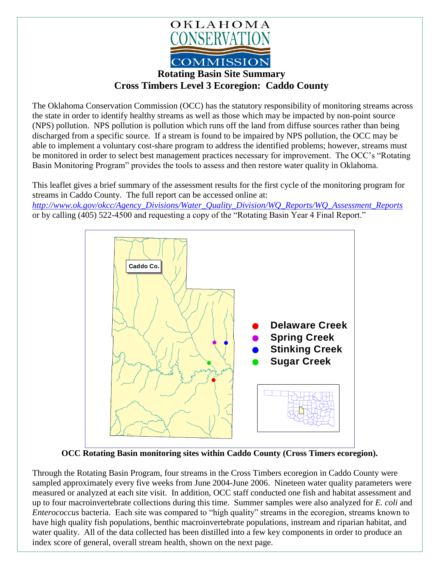

## **Cross Timbers Level 3 Ecoregion: Caddo County**

The Oklahoma Conservation Commission (OCC) has the statutory responsibility of monitoring streams across the state in order to identify healthy streams as well as those which may be impacted by non-point source (NPS) pollution. NPS pollution is pollution which runs off the land from diffuse sources rather than being discharged from a specific source. If a stream is found to be impaired by NPS pollution, the OCC may be able to implement a voluntary cost-share program to address the identified problems; however, streams must be monitored in order to select best management practices necessary for improvement. The OCC's "Rotating Basin Monitoring Program" provides the tools to assess and then restore water quality in Oklahoma.

This leaflet gives a brief summary of the assessment results for the first cycle of the monitoring program for streams in Caddo County. The full report can be accessed online at: *[http://www.ok.gov/okcc/Agency\\_Divisions/Water\\_Quality\\_Division/WQ\\_Reports/WQ\\_Assessment\\_Reports](http://www.ok.gov/okcc/Agency_Divisions/Water_Quality_Division/WQ_Reports/WQ_Assessment_Reports)* or by calling (405) 522-4500 and requesting a copy of the "Rotating Basin Year 4 Final Report."



**OCC Rotating Basin monitoring sites within Caddo County (Cross Timers ecoregion).**

Through the Rotating Basin Program, four streams in the Cross Timbers ecoregion in Caddo County were sampled approximately every five weeks from June 2004-June 2006. Nineteen water quality parameters were measured or analyzed at each site visit. In addition, OCC staff conducted one fish and habitat assessment and up to four macroinvertebrate collections during this time. Summer samples were also analyzed for *E. coli* and *Enterococcus* bacteria. Each site was compared to "high quality" streams in the ecoregion, streams known to have high quality fish populations, benthic macroinvertebrate populations, instream and riparian habitat, and water quality. All of the data collected has been distilled into a few key components in order to produce an index score of general, overall stream health, shown on the next page.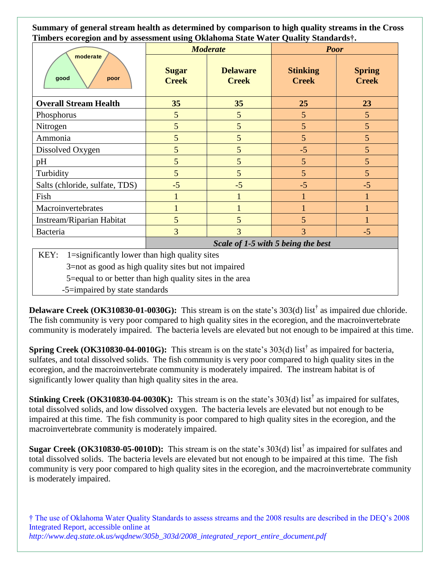**Summary of general stream health as determined by comparison to high quality streams in the Cross Timbers ecoregion and by assessment using Oklahoma State Water Quality Standards†.**

| -- ---- <i>-- --</i> J<br>moderate<br>good<br>poor | <b>Moderate</b>                    |                                 | -- <b>C</b> -------<br><b>Poor</b> |                               |
|----------------------------------------------------|------------------------------------|---------------------------------|------------------------------------|-------------------------------|
|                                                    | <b>Sugar</b><br><b>Creek</b>       | <b>Delaware</b><br><b>Creek</b> | <b>Stinking</b><br><b>Creek</b>    | <b>Spring</b><br><b>Creek</b> |
| <b>Overall Stream Health</b>                       | 35                                 | 35                              | 25                                 | 23                            |
| Phosphorus                                         | 5                                  | 5                               | 5                                  | 5                             |
| Nitrogen                                           | 5                                  | 5                               | 5                                  | 5                             |
| Ammonia                                            | 5                                  | 5                               | 5                                  | 5                             |
| Dissolved Oxygen                                   | 5                                  | 5                               | $-5$                               | 5                             |
| pH                                                 | 5                                  | 5                               | 5                                  | 5                             |
| Turbidity                                          | 5                                  | 5                               | 5                                  | 5                             |
| Salts (chloride, sulfate, TDS)                     | $-5$                               | $-5$                            | $-5$                               | $-5$                          |
| Fish                                               |                                    |                                 |                                    |                               |
| Macroinvertebrates                                 |                                    |                                 |                                    |                               |
| Instream/Riparian Habitat                          | 5                                  | 5                               | 5                                  |                               |
| Bacteria                                           | 3                                  | 3                               | 3                                  | $-5$                          |
|                                                    | Scale of 1-5 with 5 being the best |                                 |                                    |                               |

KEY:  $1 =$ significantly lower than high quality sites

3=not as good as high quality sites but not impaired

5=equal to or better than high quality sites in the area

-5=impaired by state standards

**Delaware Creek** (OK310830-01-0030G): This stream is on the state's 303(d) list<sup>†</sup> as impaired due chloride. The fish community is very poor compared to high quality sites in the ecoregion, and the macroinvertebrate community is moderately impaired. The bacteria levels are elevated but not enough to be impaired at this time.

**Spring Creek (OK310830-04-0010G):** This stream is on the state's 303(d) list† as impaired for bacteria, sulfates, and total dissolved solids. The fish community is very poor compared to high quality sites in the ecoregion, and the macroinvertebrate community is moderately impaired. The instream habitat is of significantly lower quality than high quality sites in the area.

**Stinking Creek (OK310830-04-0030K):** This stream is on the state's 303(d) list† as impaired for sulfates, total dissolved solids, and low dissolved oxygen. The bacteria levels are elevated but not enough to be impaired at this time. The fish community is poor compared to high quality sites in the ecoregion, and the macroinvertebrate community is moderately impaired.

**Sugar Creek** (**OK310830-05-0010D**): This stream is on the state's 303(d) list<sup>†</sup> as impaired for sulfates and total dissolved solids. The bacteria levels are elevated but not enough to be impaired at this time. The fish community is very poor compared to high quality sites in the ecoregion, and the macroinvertebrate community is moderately impaired.

† The use of Oklahoma Water Quality Standards to assess streams and the 2008 results are described in the DEQ's 2008 Integrated Report, accessible online at *http://www.deq.state.ok.us/wqdnew/305b\_303d/2008\_integrated\_report\_entire\_document.pdf*